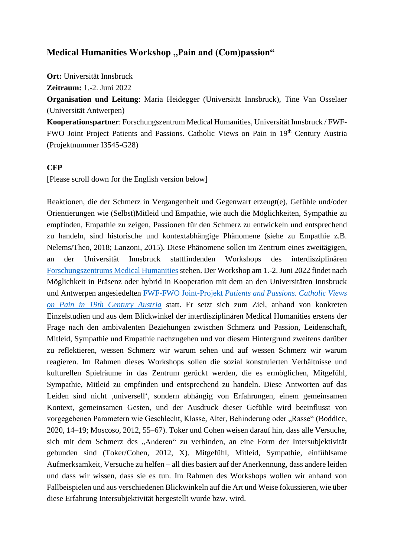# **Medical Humanities Workshop "Pain and (Com)passion"**

**Ort:** Universität Innsbruck

**Zeitraum:** 1.-2. Juni 2022

**Organisation und Leitung**: Maria Heidegger (Universität Innsbruck), Tine Van Osselaer (Universität Antwerpen)

**Kooperationspartner**: Forschungszentrum Medical Humanities, Universität Innsbruck / FWF-FWO Joint Project Patients and Passions. Catholic Views on Pain in 19th Century Austria (Projektnummer I3545-G28)

## **CFP**

[Please scroll down for the English version below]

Reaktionen, die der Schmerz in Vergangenheit und Gegenwart erzeugt(e), Gefühle und/oder Orientierungen wie (Selbst)Mitleid und Empathie, wie auch die Möglichkeiten, Sympathie zu empfinden, Empathie zu zeigen, Passionen für den Schmerz zu entwickeln und entsprechend zu handeln, sind historische und kontextabhängige Phänomene (siehe zu Empathie z.B. Nelems/Theo, 2018; Lanzoni, 2015). Diese Phänomene sollen im Zentrum eines zweitägigen, an der Universität Innsbruck stattfindenden Workshops des interdisziplinären [Forschungszentrums Medical Humanities](https://www.uibk.ac.at/fz-medical-humanities/index.html.en) stehen. Der Workshop am 1.-2. Juni 2022 findet nach Möglichkeit in Präsenz oder hybrid in Kooperation mit dem an den Universitäten Innsbruck und Antwerpen angesiedelten FWF-FWO Joint-Projekt *[Patients and Passions. Catholic Views](https://scilog.fwf.ac.at/kultur-gesellschaft/11344/schmerzgeschichte-zwischen-religion-und-medizin)  [on Pain in 19th Century Austria](https://scilog.fwf.ac.at/kultur-gesellschaft/11344/schmerzgeschichte-zwischen-religion-und-medizin)* statt. Er setzt sich zum Ziel, anhand von konkreten Einzelstudien und aus dem Blickwinkel der interdisziplinären Medical Humanities erstens der Frage nach den ambivalenten Beziehungen zwischen Schmerz und Passion, Leidenschaft, Mitleid, Sympathie und Empathie nachzugehen und vor diesem Hintergrund zweitens darüber zu reflektieren, wessen Schmerz wir warum sehen und auf wessen Schmerz wir warum reagieren. Im Rahmen dieses Workshops sollen die sozial konstruierten Verhältnisse und kulturellen Spielräume in das Zentrum gerückt werden, die es ermöglichen, Mitgefühl, Sympathie, Mitleid zu empfinden und entsprechend zu handeln. Diese Antworten auf das Leiden sind nicht ,universell', sondern abhängig von Erfahrungen, einem gemeinsamen Kontext, gemeinsamen Gesten, und der Ausdruck dieser Gefühle wird beeinflusst von vorgegebenen Parametern wie Geschlecht, Klasse, Alter, Behinderung oder "Rasse" (Boddice, 2020, 14–19; Moscoso, 2012, 55–67). Toker und Cohen weisen darauf hin, dass alle Versuche, sich mit dem Schmerz des "Anderen" zu verbinden, an eine Form der Intersubjektivität gebunden sind (Toker/Cohen, 2012, X). Mitgefühl, Mitleid, Sympathie, einfühlsame Aufmerksamkeit, Versuche zu helfen – all dies basiert auf der Anerkennung, dass andere leiden und dass wir wissen, dass sie es tun. Im Rahmen des Workshops wollen wir anhand von Fallbeispielen und aus verschiedenen Blickwinkeln auf die Art und Weise fokussieren, wie über diese Erfahrung Intersubjektivität hergestellt wurde bzw. wird.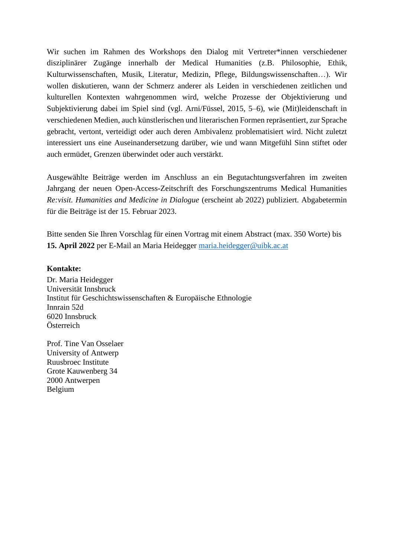Wir suchen im Rahmen des Workshops den Dialog mit Vertreter\*innen verschiedener disziplinärer Zugänge innerhalb der Medical Humanities (z.B. Philosophie, Ethik, Kulturwissenschaften, Musik, Literatur, Medizin, Pflege, Bildungswissenschaften…). Wir wollen diskutieren, wann der Schmerz anderer als Leiden in verschiedenen zeitlichen und kulturellen Kontexten wahrgenommen wird, welche Prozesse der Objektivierung und Subjektivierung dabei im Spiel sind (vgl. Arni/Füssel, 2015, 5–6), wie (Mit)leidenschaft in verschiedenen Medien, auch künstlerischen und literarischen Formen repräsentiert, zur Sprache gebracht, vertont, verteidigt oder auch deren Ambivalenz problematisiert wird. Nicht zuletzt interessiert uns eine Auseinandersetzung darüber, wie und wann Mitgefühl Sinn stiftet oder auch ermüdet, Grenzen überwindet oder auch verstärkt.

Ausgewählte Beiträge werden im Anschluss an ein Begutachtungsverfahren im zweiten Jahrgang der neuen Open-Access-Zeitschrift des Forschungszentrums Medical Humanities *Re:visit. Humanities and Medicine in Dialogue* (erscheint ab 2022) publiziert. Abgabetermin für die Beiträge ist der 15. Februar 2023.

Bitte senden Sie Ihren Vorschlag für einen Vortrag mit einem Abstract (max. 350 Worte) bis **15. April 2022** per E-Mail an Maria Heidegger [maria.heidegger@uibk.ac.at](mailto:maria.heidegger@uibk.ac.at)

#### **Kontakte:**

Dr. Maria Heidegger Universität Innsbruck Institut für Geschichtswissenschaften & Europäische Ethnologie Innrain 52d 6020 Innsbruck Österreich

Prof. Tine Van Osselaer University of Antwerp Ruusbroec Institute Grote Kauwenberg 34 2000 Antwerpen Belgium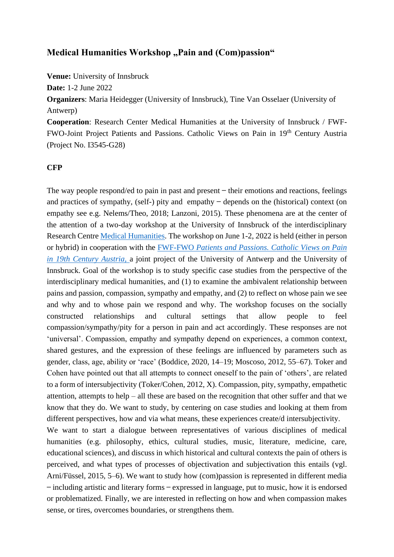## **Medical Humanities Workshop "Pain and (Com)passion"**

**Venue:** University of Innsbruck

**Date:** 1-2 June 2022

**Organizers**: Maria Heidegger (University of Innsbruck), Tine Van Osselaer (University of Antwerp)

**Cooperation**: Research Center Medical Humanities at the University of Innsbruck / FWF-FWO-Joint Project Patients and Passions. Catholic Views on Pain in 19th Century Austria (Project No. I3545-G28)

#### **CFP**

The way people respond/ed to pain in past and present  $-$  their emotions and reactions, feelings and practices of sympathy, (self-) pity and empathy  $-$  depends on the (historical) context (on empathy see e.g. Nelems/Theo, 2018; Lanzoni, 2015). These phenomena are at the center of the attention of a two-day workshop at the University of Innsbruck of the interdisciplinary Research Centre [Medical Humanities.](https://www.uibk.ac.at/fz-medical-humanities/index.html.en) The workshop on June 1-2, 2022 is held (either in person or hybrid) in cooperation with the FWF-FWO *[Patients and Passions. Catholic Views on Pain](https://scilog.fwf.ac.at/kultur-gesellschaft/11344/schmerzgeschichte-zwischen-religion-und-medizin)  [in 19th Century Austria,](https://scilog.fwf.ac.at/kultur-gesellschaft/11344/schmerzgeschichte-zwischen-religion-und-medizin)* a joint project of the University of Antwerp and the University of Innsbruck. Goal of the workshop is to study specific case studies from the perspective of the interdisciplinary medical humanities, and (1) to examine the ambivalent relationship between pains and passion, compassion, sympathy and empathy, and (2) to reflect on whose pain we see and why and to whose pain we respond and why. The workshop focuses on the socially constructed relationships and cultural settings that allow people to feel compassion/sympathy/pity for a person in pain and act accordingly. These responses are not 'universal'. Compassion, empathy and sympathy depend on experiences, a common context, shared gestures, and the expression of these feelings are influenced by parameters such as gender, class, age, ability or 'race' (Boddice, 2020, 14–19; Moscoso, 2012, 55–67). Toker and Cohen have pointed out that all attempts to connect oneself to the pain of 'others', are related to a form of intersubjectivity (Toker/Cohen, 2012, X). Compassion, pity, sympathy, empathetic attention, attempts to help – all these are based on the recognition that other suffer and that we know that they do. We want to study, by centering on case studies and looking at them from different perspectives, how and via what means, these experiences create/d intersubjectivity. We want to start a dialogue between representatives of various disciplines of medical

humanities (e.g. philosophy, ethics, cultural studies, music, literature, medicine, care, educational sciences), and discuss in which historical and cultural contexts the pain of others is perceived, and what types of processes of objectivation and subjectivation this entails (vgl. Arni/Füssel, 2015, 5–6). We want to study how (com)passion is represented in different media ̶ including artistic and literary forms ̶ expressed in language, put to music, how it is endorsed or problematized. Finally, we are interested in reflecting on how and when compassion makes sense, or tires, overcomes boundaries, or strengthens them.